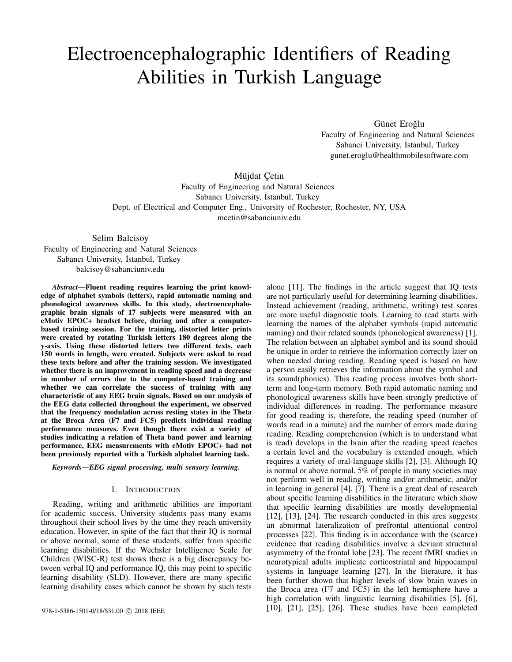# Electroencephalographic Identifiers of Reading Abilities in Turkish Language

Günet Eroğlu Faculty of Engineering and Natural Sciences Sabanci University, İstanbul, Turkey gunet.eroglu@healthmobilesoftware.com

Müjdat Çetin Faculty of Engineering and Natural Sciences Sabancı University, İstanbul, Turkey Dept. of Electrical and Computer Eng., University of Rochester, Rochester, NY, USA mcetin@sabanciuniv.edu

Selim Balcisoy Faculty of Engineering and Natural Sciences Sabancı University, İstanbul, Turkey balcisoy@sabanciuniv.edu

*Abstract*—Fluent reading requires learning the print knowledge of alphabet symbols (letters), rapid automatic naming and phonological awareness skills. In this study, electroencephalographic brain signals of 17 subjects were measured with an eMotiv EPOC+ headset before, during and after a computerbased training session. For the training, distorted letter prints were created by rotating Turkish letters 180 degrees along the y-axis. Using these distorted letters two different texts, each 150 words in length, were created. Subjects were asked to read these texts before and after the training session. We investigated whether there is an improvement in reading speed and a decrease in number of errors due to the computer-based training and whether we can correlate the success of training with any characteristic of any EEG brain signals. Based on our analysis of the EEG data collected throughout the experiment, we observed that the frequency modulation across resting states in the Theta at the Broca Area (F7 and FC5) predicts individual reading performance measures. Even though there exist a variety of studies indicating a relation of Theta band power and learning performance, EEG measurements with eMotiv EPOC+ had not been previously reported with a Turkish alphabet learning task.

*Keywords*—*EEG signal processing, multi sensory learning.*

## I. INTRODUCTION

Reading, writing and arithmetic abilities are important for academic success. University students pass many exams throughout their school lives by the time they reach university education. However, in spite of the fact that their IQ is normal or above normal, some of these students, suffer from specific learning disabilities. If the Wechsler Intelligence Scale for Children (WISC-R) test shows there is a big discrepancy between verbal IQ and performance IQ, this may point to specific learning disability (SLD). However, there are many specific learning disability cases which cannot be shown by such tests

alone [11]. The findings in the article suggest that IQ tests are not particularly useful for determining learning disabilities. Instead achievement (reading, arithmetic, writing) test scores are more useful diagnostic tools. Learning to read starts with learning the names of the alphabet symbols (rapid automatic naming) and their related sounds (phonological awareness) [1]. The relation between an alphabet symbol and its sound should be unique in order to retrieve the information correctly later on when needed during reading. Reading speed is based on how a person easily retrieves the information about the symbol and its sound(phonics). This reading process involves both shortterm and long-term memory. Both rapid automatic naming and phonological awareness skills have been strongly predictive of individual differences in reading. The performance measure for good reading is, therefore, the reading speed (number of words read in a minute) and the number of errors made during reading. Reading comprehension (which is to understand what is read) develops in the brain after the reading speed reaches a certain level and the vocabulary is extended enough, which requires a variety of oral-language skills [2], [3]. Although IQ is normal or above normal, 5% of people in many societies may not perform well in reading, writing and/or arithmetic, and/or in learning in general [4], [7]. There is a great deal of research about specific learning disabilities in the literature which show that specific learning disabilities are mostly developmental [12], [13], [24]. The research conducted in this area suggests an abnormal lateralization of prefrontal attentional control processes [22]. This finding is in accordance with the (scarce) evidence that reading disabilities involve a deviant structural asymmetry of the frontal lobe [23]. The recent fMRI studies in neurotypical adults implicate corticostriatal and hippocampal systems in language learning [27]. In the literature, it has been further shown that higher levels of slow brain waves in the Broca area (F7 and FC5) in the left hemisphere have a high correlation with linguistic learning disabilities [5], [6], 978-1-5386-1501-0/18/\$31.00 © 2018 IEEE [10], [21], [25], [26]. These studies have been completed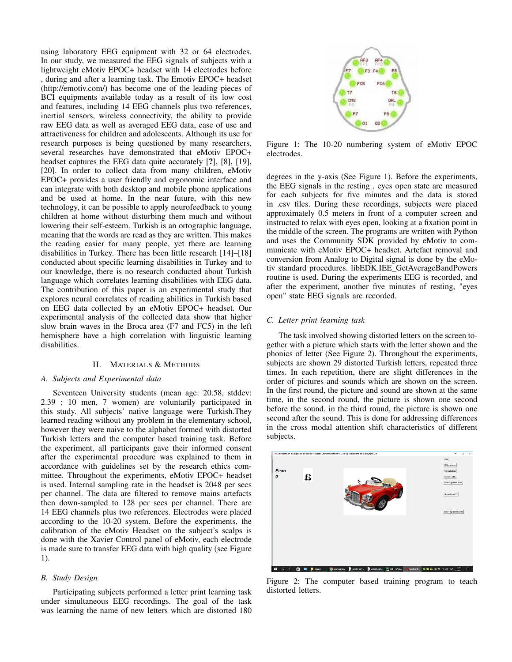using laboratory EEG equipment with 32 or 64 electrodes. In our study, we measured the EEG signals of subjects with a lightweight eMotiv EPOC+ headset with 14 electrodes before , during and after a learning task. The Emotiv EPOC+ headset (http://emotiv.com/) has become one of the leading pieces of BCI equipments available today as a result of its low cost and features, including 14 EEG channels plus two references, inertial sensors, wireless connectivity, the ability to provide raw EEG data as well as averaged EEG data, ease of use and attractiveness for children and adolescents. Although its use for research purposes is being questioned by many researchers, several researches have demonstrated that eMotiv EPOC+ headset captures the EEG data quite accurately [?], [8], [19], [20]. In order to collect data from many children, eMotiv EPOC+ provides a user friendly and ergonomic interface and can integrate with both desktop and mobile phone applications and be used at home. In the near future, with this new technology, it can be possible to apply neurofeedback to young children at home without disturbing them much and without lowering their self-esteem. Turkish is an ortographic language, meaning that the words are read as they are written. This makes the reading easier for many people, yet there are learning disabilities in Turkey. There has been little research [14]–[18] conducted about specific learning disabilities in Turkey and to our knowledge, there is no research conducted about Turkish language which correlates learning disabilities with EEG data. The contribution of this paper is an experimental study that explores neural correlates of reading abilities in Turkish based on EEG data collected by an eMotiv EPOC+ headset. Our experimental analysis of the collected data show that higher slow brain waves in the Broca area (F7 and FC5) in the left hemisphere have a high correlation with linguistic learning disabilities.

## II. MATERIALS & METHODS

### *A. Subjects and Experimental data*

Seventeen University students (mean age: 20.58, stddev: 2.39 ; 10 men, 7 women) are voluntarily participated in this study. All subjects' native language were Turkish.They learned reading without any problem in the elementary school, however they were naive to the alphabet formed with distorted Turkish letters and the computer based training task. Before the experiment, all participants gave their informed consent after the experimental procedure was explained to them in accordance with guidelines set by the research ethics committee. Throughout the experiments, eMotiv EPOC+ headset is used. Internal sampling rate in the headset is 2048 per secs per channel. The data are filtered to remove mains artefacts then down-sampled to 128 per secs per channel. There are 14 EEG channels plus two references. Electrodes were placed according to the 10-20 system. Before the experiments, the calibration of the eMotiv Headset on the subject's scalps is done with the Xavier Control panel of eMotiv, each electrode is made sure to transfer EEG data with high quality (see Figure 1).

# *B. Study Design*

Participating subjects performed a letter print learning task under simultaneous EEG recordings. The goal of the task was learning the name of new letters which are distorted 180



Figure 1: The 10-20 numbering system of eMotiv EPOC electrodes.

degrees in the y-axis (See Figure 1). Before the experiments, the EEG signals in the resting , eyes open state are measured for each subjects for five minutes and the data is stored in .csv files. During these recordings, subjects were placed approximately 0.5 meters in front of a computer screen and instructed to relax with eyes open, looking at a fixation point in the middle of the screen. The programs are written with Python and uses the Community SDK provided by eMotiv to communicate with eMotiv EPOC+ headset. Artefact removal and conversion from Analog to Digital signal is done by the eMotiv standard procedures. libEDK.IEE\_GetAverageBandPowers routine is used. During the experiments EEG is recorded, and after the experiment, another five minutes of resting, "eyes open" state EEG signals are recorded.

## *C. Letter print learning task*

The task involved showing distorted letters on the screen together with a picture which starts with the letter shown and the phonics of letter (See Figure 2). Throughout the experiments, subjects are shown 29 distorted Turkish letters, repeated three times. In each repetition, there are slight differences in the order of pictures and sounds which are shown on the screen. In the first round, the picture and sound are shown at the same time, in the second round, the picture is shown one second before the sound, in the third round, the picture is shown one second after the sound. This is done for addressing differences in the cross modal attention shift characteristics of different subjects.



Figure 2: The computer based training program to teach distorted letters.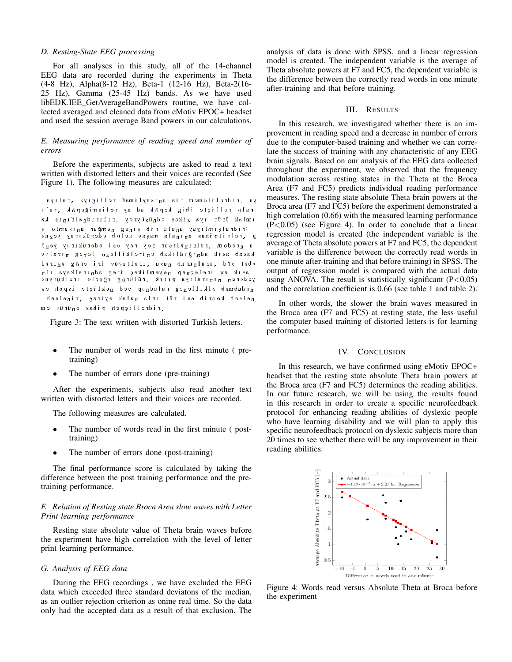## *D. Resting-State EEG processing*

For all analyses in this study, all of the 14-channel EEG data are recorded during the experiments in Theta (4-8 Hz), Alpha(8-12 Hz), Beta-1 (12-16 Hz), Beta-2(16- 25 Hz), Gamma (25-45 Hz) bands. As we have used libEDK.IEE\_GetAverageBandPowers routine, we have collected averaged and cleaned data from eMotiv EPOC+ headset and used the session average Band powers in our calculations.

## *E. Measuring performance of reading speed and number of errors*

Before the experiments, subjects are asked to read a text written with distorted letters and their voices are recorded (See Figure 1). The following measures are calculated:

ya ridrelilemem tia anısaylimaf relligiya ralıya ralo relliçte ibig kepök ad ay relismiğepök ,ralı imlak ürüt iya zikes ednüzüyrey riliridnalfınıs ka rıdralşımlıyay anala rib şineg nemğar anısamlo ş g , relritpihas anınala maşay aclob ederükıray yezuk a nredom ralrinaltsar rey rey esi ederükiray yenü kacab asık adnığıdlıkab enirelkillezö leneg nıralıy abat züd , ıralnurub nuzu , ıraltucüv iri erög anıral asik ev ireleçnep neyemlikeç ireg adnıralkaya ıln yederen niniralıya putuk rülürög uğudlo iralkuryuk nadubmab elkilleneg raladnap ved nekliçte ispeh es nelseb koerib esi rüt itla nalak eyireg , rinelseb ridrelliçpeh pihas enürüt em

Figure 3: The text written with distorted Turkish letters.

- The number of words read in the first minute (pretraining)
- The number of errors done (pre-training)

After the experiments, subjects also read another text written with distorted letters and their voices are recorded.

The following measures are calculated.

- The number of words read in the first minute (posttraining)
- The number of errors done (post-training)

The final performance score is calculated by taking the difference between the post training performance and the pretraining performance.

## *F. Relation of Resting state Broca Area slow waves with Letter Print learning performance*

Resting state absolute value of Theta brain waves before the experiment have high correlation with the level of letter print learning performance.

## *G. Analysis of EEG data*

During the EEG recordings , we have excluded the EEG data which exceeded three standard deviatons of the median, as an outlier rejection criterion as onine real time. So the data only had the accepted data as a result of that exclusion. The

analysis of data is done with SPSS, and a linear regression model is created. The independent variable is the average of Theta absolute powers at F7 and FC5, the dependent variable is the difference between the correctly read words in one minute after-training and that before training.

## III. RESULTS

In this research, we investigated whether there is an improvement in reading speed and a decrease in number of errors due to the computer-based training and whether we can correlate the success of training with any characteristic of any EEG brain signals. Based on our analysis of the EEG data collected throughout the experiment, we observed that the frequency modulation across resting states in the Theta at the Broca Area (F7 and FC5) predicts individual reading performance measures. The resting state absolute Theta brain powers at the Broca area (F7 and FC5) before the experiment demonstrated a high correlation  $(0.66)$  with the measured learning performance  $(P<0.05)$  (see Figure 4). In order to conclude that a linear regression model is created (the independent variable is the average of Theta absolute powers at F7 and FC5, the dependent variable is the difference between the correctly read words in one minute after-training and that before training) in SPSS. The output of regression model is compared with the actual data using ANOVA. The result is statistically significant  $(P<0.05)$ and the correlation coefficient is 0.66 (see table 1 and table 2).

In other words, the slower the brain waves measured in the Broca area (F7 and FC5) at resting state, the less useful the computer based training of distorted letters is for learning performance.

#### IV. CONCLUSION

In this research, we have confirmed using eMotiv EPOC+ headset that the resting state absolute Theta brain powers at the Broca area (F7 and FC5) determines the reading abilities. In our future research, we will be using the results found in this research in order to create a specific neurofeedback protocol for enhancing reading abilities of dyslexic people who have learning disability and we will plan to apply this specific neurofeedback protocol on dyslexic subjects more than 20 times to see whether there will be any improvement in their reading abilities.



Figure 4: Words read versus Absolute Theta at Broca before the experiment